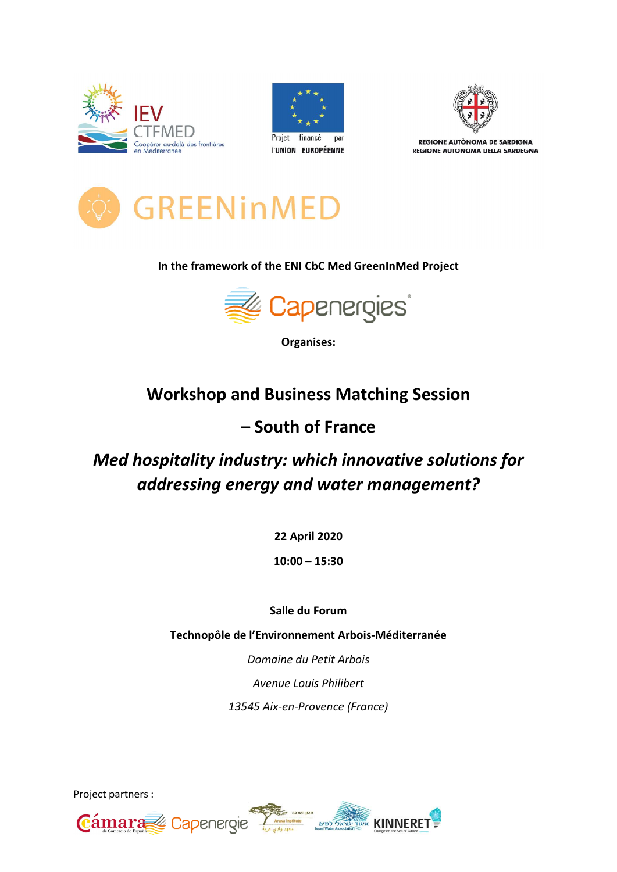





REGIONE AUTÒNOMA DE SARDIGNA REGIONE AUTONOMA DELLA SARDEGNA



### In the framework of the ENI CbC Med GreenInMed Project



Organises:

## Workshop and Business Matching Session

### – South of France

# Med hospitality industry: which innovative solutions for addressing energy and water management?

22 April 2020

10:00 – 15:30

Salle du Forum

Technopôle de l'Environnement Arbois Arbois-Méditerranée Méditerranée

Domaine du Petit Arbois Avenue Louis Philibert 13545 Aix-en-Provence (France)

Project partners :

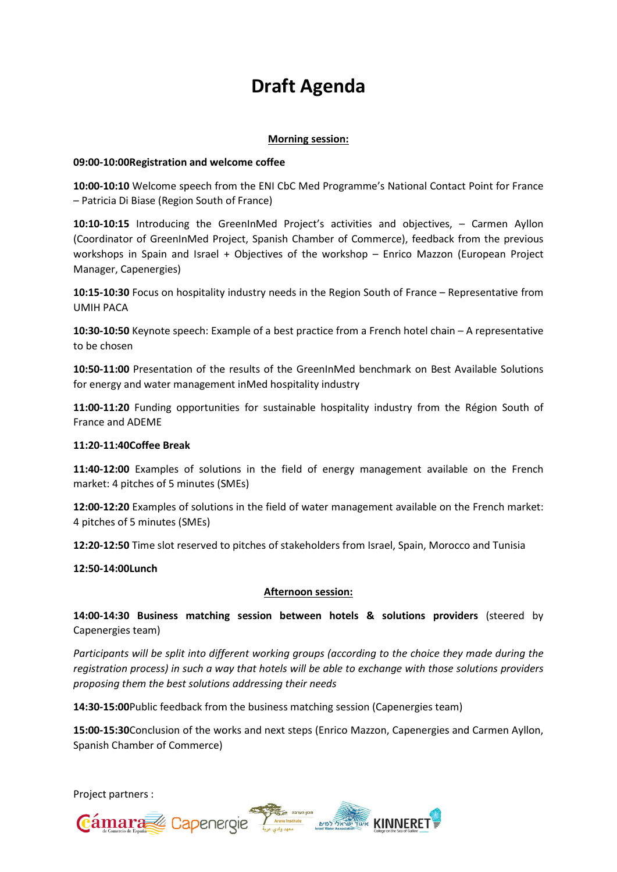# Draft Agenda

#### Morning session:

#### 09:00-10:00Registration and welcome coffee

10:00-10:10 Welcome speech from the ENI CbC Med Programme's National Contact Point for France – Patricia Di Biase (Region South of France) 10:00-10:10 Welcome speech from the ENI CbC Med Programme's National Contact Point for France<br>– Patricia Di Biase (Region South of France)<br>10:10-10:15 Introducing the GreenInMed Project's activities and objectives, – Carme

(Coordinator of GreenInMed Project, Spanish Chamber of Commerce), feedback from the previous workshops in Spain and Israel + Objectives of the workshop - Enrico Mazzon (European Project Manager, Capenergies)

10:15-10:30 Focus on hospitality industry needs in the Region South of France - Representative from UMIH PACA

10:30-10:50 Keynote speech: Example of a best practice from a French hotel chain - A representative to be chosen

10:50-11:00 Presentation of the results of the GreenInMed benchmark on Best Available Solutions for energy and water management inMed hospitality industry

11:00-11:20 Funding opportunities for sustainable hospitality industry from the Région South of France and ADEME st Available Solutions<br>the Région South of<br>ilable on the French

#### 11:20-11:40Coffee Break

11:40-12:00 Examples of solutions in the field of energy management available market: 4 pitches of 5 minutes (SMEs)

market: 4 pitches of 5 minutes (SMEs)<br>**12:00-12:20** Examples of solutions in the field of water management available on the French market: 4 pitches of 5 minutes (SMEs)

12:20-12:50 Time slot reserved to pitches of stakeholders from Israel, Spain, Morocco and Tunisia

12:50-14:00Lunch

#### Afternoon session:

14:00-14:30 Business matching session between hotels & solutions providers (steered by Capenergies team)

Participants will be split into different working groups (according to the choice they made during the registration process) in such a way that hotels will be able to exchange with those solutions providers<br>proposing them the best solutions addressing their needs proposing them the best solutions addressing their needs

14:30-15:00 Public feedback from the business matching session (Capenergies team)

15:00-15:30 Conclusion of the works and next steps (Enrico Mazzon, Capenergies and Carmen Ayllon, Spanish Chamber of Commerce)

Project partners : Cámara Capenergie Annual Dupont KINNERET